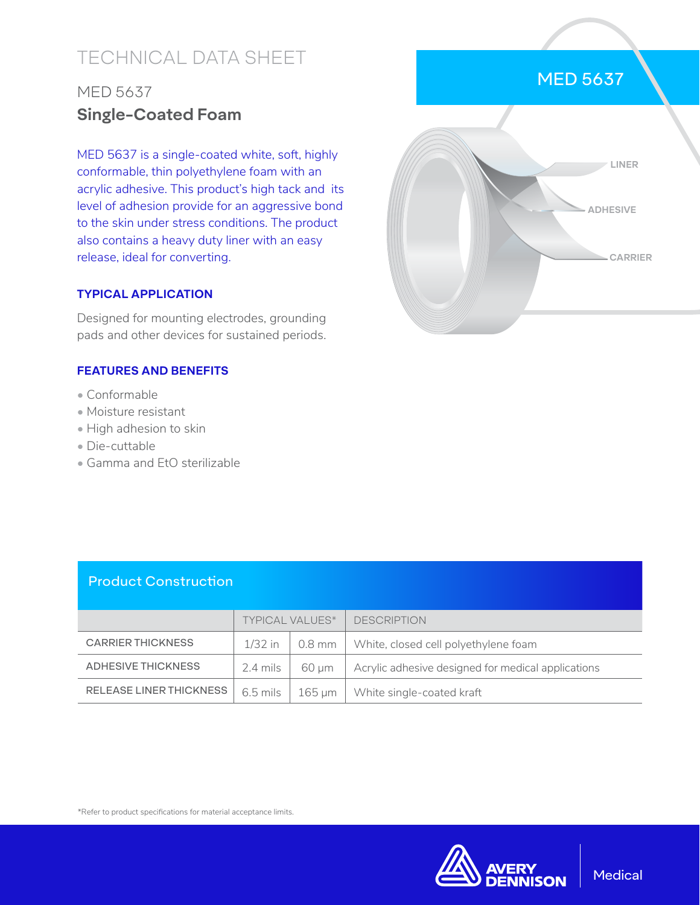# TECHNICAL DATA SHEET

# MED 5637 **Single-Coated Foam**

MED 5637 is a single-coated white, soft, highly conformable, thin polyethylene foam with an acrylic adhesive. This product's high tack and its level of adhesion provide for an aggressive bond to the skin under stress conditions. The product also contains a heavy duty liner with an easy release, ideal for converting.

### **TYPICAL APPLICATION**

Designed for mounting electrodes, grounding pads and other devices for sustained periods.

### **FEATURES AND BENEFITS**

- Conformable
- Moisture resistant
- High adhesion to skin
- Die-cuttable
- Gamma and EtO sterilizable

|  | <b>MED 5637</b> |                          |  |
|--|-----------------|--------------------------|--|
|  |                 |                          |  |
|  |                 | LINER<br><b>ADHESIVE</b> |  |
|  |                 | <b>CARRIER</b>           |  |
|  |                 |                          |  |

### Product Construction

|                                | <b>TYPICAL VALUES*</b> |        | <b>DESCRIPTION</b>                                 |
|--------------------------------|------------------------|--------|----------------------------------------------------|
| <b>CARRIER THICKNESS</b>       | $1/32$ in              | 0.8 mm | White, closed cell polyethylene foam               |
| ADHESIVE THICKNESS             | 2.4 mils               | 60 um  | Acrylic adhesive designed for medical applications |
| <b>RELEASE LINER THICKNESS</b> | $6.5$ mils             | 165 um | White single-coated kraft                          |

\*Refer to product specifications for material acceptance limits.